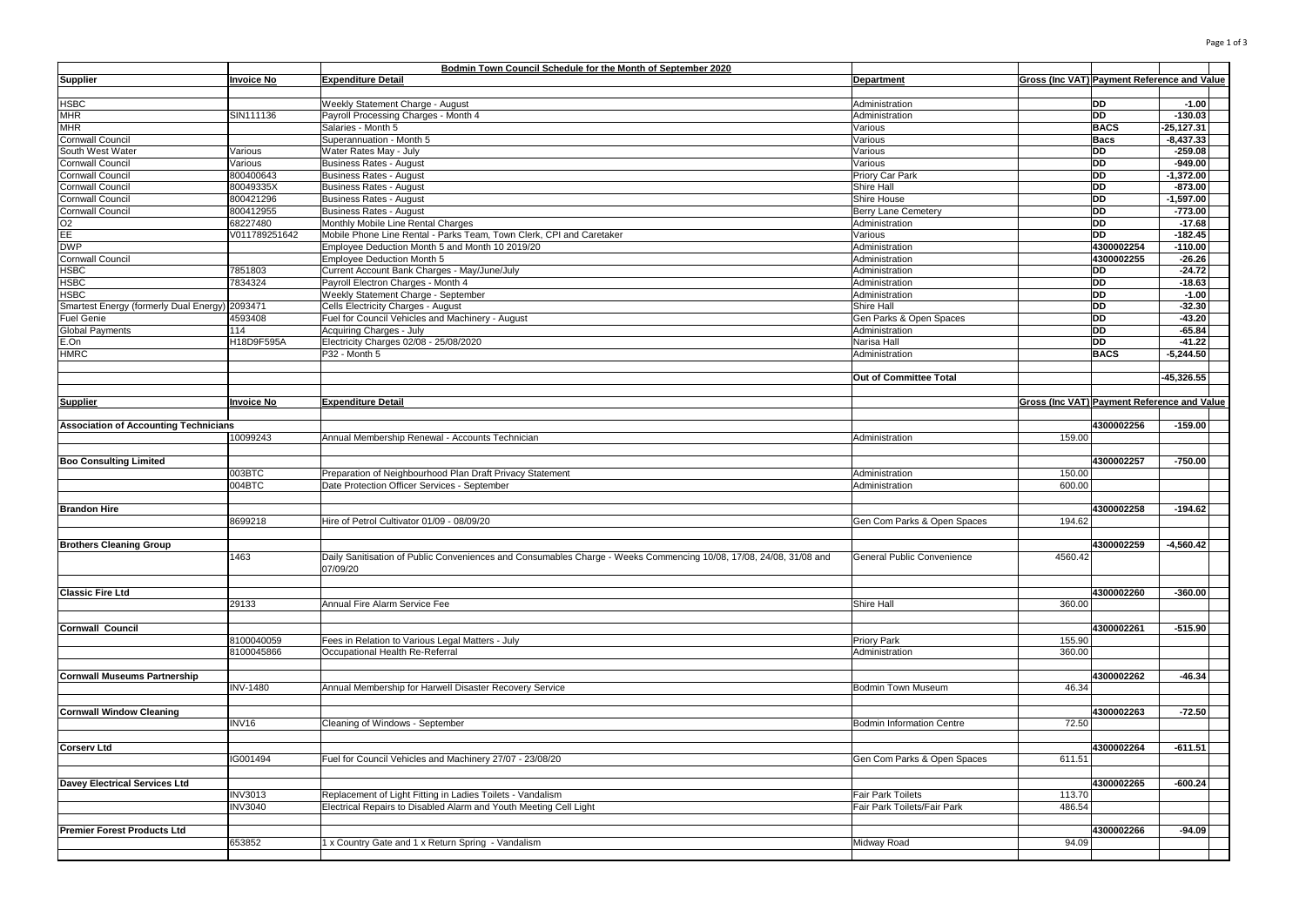|                                                                     |                   | Bodmin Town Council Schedule for the Month of September 2020                                                       |                                       |                                                    |                        |                     |  |
|---------------------------------------------------------------------|-------------------|--------------------------------------------------------------------------------------------------------------------|---------------------------------------|----------------------------------------------------|------------------------|---------------------|--|
| <b>Supplier</b>                                                     | <b>Invoice No</b> | <b>Expenditure Detail</b>                                                                                          | Department                            | Gross (Inc VAT) Payment Reference and Value        |                        |                     |  |
|                                                                     |                   |                                                                                                                    |                                       |                                                    |                        |                     |  |
| <b>HSBC</b>                                                         |                   | Weekly Statement Charge - August                                                                                   | Administration                        |                                                    | DD                     | $-1.00$             |  |
| <b>MHR</b>                                                          | SIN111136         | Payroll Processing Charges - Month 4                                                                               | Administration                        |                                                    | <b>DD</b>              | $-130.03$           |  |
| <b>MHR</b>                                                          |                   | Salaries - Month 5                                                                                                 | Various                               |                                                    | <b>BACS</b>            | -25,127.31          |  |
| <b>Cornwall Council</b>                                             |                   | Superannuation - Month 5                                                                                           | Various                               |                                                    | <b>Bacs</b>            | $-8,437.33$         |  |
| South West Water                                                    | Various           | Water Rates May - July                                                                                             | Various                               |                                                    | <b>DD</b>              | $-259.08$           |  |
| <b>Cornwall Council</b>                                             | Various           | <b>Business Rates - August</b>                                                                                     | Various                               |                                                    | DD                     | $-949.00$           |  |
| <b>Cornwall Council</b>                                             | 800400643         | <b>Business Rates - August</b>                                                                                     | Priory Car Park                       |                                                    | <b>DD</b>              | $-1,372.00$         |  |
| <b>Cornwall Council</b>                                             | 80049335X         | <b>Business Rates - August</b>                                                                                     | Shire Hall                            |                                                    | <b>DD</b>              | $-873.00$           |  |
| Cornwall Council                                                    | 800421296         | <b>Business Rates - August</b>                                                                                     | Shire House                           |                                                    | <b>DD</b>              | $-1,597.00$         |  |
| <b>Cornwall Council</b>                                             | 800412955         | <b>Business Rates - August</b>                                                                                     | Berry Lane Cemetery                   |                                                    | <b>DD</b>              | $-773.00$           |  |
| $\frac{1}{2}$                                                       | 68227480          | Monthly Mobile Line Rental Charges                                                                                 | Administration                        |                                                    | <b>DD</b>              | $-17.68$            |  |
|                                                                     | V011789251642     | Mobile Phone Line Rental - Parks Team, Town Clerk, CPI and Caretaker                                               | Various                               |                                                    | <b>DD</b>              | $-182.45$           |  |
| <b>DWP</b>                                                          |                   | Employee Deduction Month 5 and Month 10 2019/20                                                                    | Administration                        |                                                    | 4300002254             | $-110.00$           |  |
| <b>Cornwall Council</b>                                             |                   | Employee Deduction Month 5                                                                                         | Administration                        |                                                    | 4300002255             | $-26.26$            |  |
| <b>HSBC</b>                                                         | 7851803           | Current Account Bank Charges - May/June/July                                                                       | Administration                        |                                                    | <b>DD</b>              | $-24.72$            |  |
| <b>HSBC</b>                                                         | 7834324           | Payroll Electron Charges - Month 4                                                                                 | Administration                        |                                                    | <b>DD</b><br><b>DD</b> | $-18.63$<br>$-1.00$ |  |
| <b>HSBC</b>                                                         |                   | Weekly Statement Charge - September                                                                                | Administration                        |                                                    | <b>DD</b>              | $-32.30$            |  |
| Smartest Energy (formerly Dual Energy) 2093471<br><b>Fuel Genie</b> | 4593408           | Cells Electricity Charges - August<br>Fuel for Council Vehicles and Machinery - August                             | Shire Hall<br>Gen Parks & Open Spaces |                                                    | <b>DD</b>              | $-43.20$            |  |
|                                                                     | 114               |                                                                                                                    |                                       |                                                    | <b>DD</b>              | $-65.84$            |  |
| Global Payments<br>E.On                                             | H18D9F595A        | Acquiring Charges - July<br>Electricity Charges 02/08 - 25/08/2020                                                 | Administration<br>Narisa Hall         |                                                    | <b>DD</b>              | $-41.22$            |  |
| <b>HMRC</b>                                                         |                   | P32 - Month 5                                                                                                      | Administration                        |                                                    | <b>BACS</b>            | $-5,244.50$         |  |
|                                                                     |                   |                                                                                                                    |                                       |                                                    |                        |                     |  |
|                                                                     |                   |                                                                                                                    | Out of Committee Total                |                                                    |                        | $-45,326.55$        |  |
|                                                                     |                   |                                                                                                                    |                                       |                                                    |                        |                     |  |
| <b>Supplier</b>                                                     | <b>Invoice No</b> | <b>Expenditure Detail</b>                                                                                          |                                       | <b>Gross (Inc VAT) Payment Reference and Value</b> |                        |                     |  |
|                                                                     |                   |                                                                                                                    |                                       |                                                    |                        |                     |  |
| <b>Association of Accounting Technicians</b>                        |                   |                                                                                                                    |                                       |                                                    | 4300002256             | $-159.00$           |  |
|                                                                     | 10099243          | Annual Membership Renewal - Accounts Technician                                                                    | Administration                        | 159.00                                             |                        |                     |  |
|                                                                     |                   |                                                                                                                    |                                       |                                                    |                        |                     |  |
| <b>Boo Consulting Limited</b>                                       |                   |                                                                                                                    |                                       |                                                    | 4300002257             | $-750.00$           |  |
|                                                                     | 003BTC            | Preparation of Neighbourhood Plan Draft Privacy Statement                                                          | Administration                        | 150.00                                             |                        |                     |  |
|                                                                     | 004BTC            | Date Protection Officer Services - September                                                                       | Administration                        | 600.00                                             |                        |                     |  |
|                                                                     |                   |                                                                                                                    |                                       |                                                    |                        |                     |  |
| <b>Brandon Hire</b>                                                 |                   |                                                                                                                    |                                       |                                                    | 4300002258             | $-194.62$           |  |
|                                                                     | 8699218           | Hire of Petrol Cultivator 01/09 - 08/09/20                                                                         | Gen Com Parks & Open Spaces           | 194.62                                             |                        |                     |  |
|                                                                     |                   |                                                                                                                    |                                       |                                                    |                        |                     |  |
| <b>Brothers Cleaning Group</b>                                      |                   |                                                                                                                    |                                       |                                                    | 4300002259             | $-4,560.42$         |  |
|                                                                     | 1463              | Daily Sanitisation of Public Conveniences and Consumables Charge - Weeks Commencing 10/08, 17/08, 24/08, 31/08 and | General Public Convenience            | 4560.42                                            |                        |                     |  |
|                                                                     |                   | 07/09/20                                                                                                           |                                       |                                                    |                        |                     |  |
|                                                                     |                   |                                                                                                                    |                                       |                                                    |                        |                     |  |
| <b>Classic Fire Ltd</b>                                             |                   |                                                                                                                    |                                       |                                                    | 4300002260             | $-360.00$           |  |
|                                                                     | 29133             | Annual Fire Alarm Service Fee                                                                                      | Shire Hall                            | 360.00                                             |                        |                     |  |
|                                                                     |                   |                                                                                                                    |                                       |                                                    |                        |                     |  |
| <b>Cornwall Council</b>                                             |                   |                                                                                                                    |                                       |                                                    | 4300002261             | $-515.90$           |  |
|                                                                     | 8100040059        | Fees in Relation to Various Legal Matters - July                                                                   | Priory Park                           | 155.90                                             |                        |                     |  |
|                                                                     | 8100045866        | Occupational Health Re-Referral                                                                                    | Administration                        | 360.00                                             |                        |                     |  |
|                                                                     |                   |                                                                                                                    |                                       |                                                    |                        |                     |  |
| <b>Cornwall Museums Partnership</b>                                 |                   |                                                                                                                    |                                       |                                                    | 4300002262             | $-46.34$            |  |
|                                                                     | <b>INV-1480</b>   | Annual Membership for Harwell Disaster Recovery Service                                                            | <b>Bodmin Town Museum</b>             | 46.34                                              |                        |                     |  |
| <b>Cornwall Window Cleaning</b>                                     |                   |                                                                                                                    |                                       |                                                    | 4300002263             | $-72.50$            |  |
|                                                                     | INV16             |                                                                                                                    | <b>Bodmin Information Centre</b>      | 72.50                                              |                        |                     |  |
|                                                                     |                   | Cleaning of Windows - September                                                                                    |                                       |                                                    |                        |                     |  |
| <b>Corserv Ltd</b>                                                  |                   |                                                                                                                    |                                       |                                                    | 4300002264             | $-611.51$           |  |
|                                                                     | IG001494          | Fuel for Council Vehicles and Machinery 27/07 - 23/08/20                                                           | Gen Com Parks & Open Spaces           | 611.51                                             |                        |                     |  |
|                                                                     |                   |                                                                                                                    |                                       |                                                    |                        |                     |  |
| Davey Electrical Services Ltd                                       |                   |                                                                                                                    |                                       |                                                    | 4300002265             | $-600.24$           |  |
|                                                                     | <b>INV3013</b>    | Replacement of Light Fitting in Ladies Toilets - Vandalism                                                         | Fair Park Toilets                     | 113.70                                             |                        |                     |  |
|                                                                     | <b>INV3040</b>    | Electrical Repairs to Disabled Alarm and Youth Meeting Cell Light                                                  | Fair Park Toilets/Fair Park           | 486.54                                             |                        |                     |  |
|                                                                     |                   |                                                                                                                    |                                       |                                                    |                        |                     |  |
| <b>Premier Forest Products Ltd</b>                                  |                   |                                                                                                                    |                                       |                                                    | 4300002266             | $-94.09$            |  |
|                                                                     | 653852            | 1 x Country Gate and 1 x Return Spring - Vandalism                                                                 | Midway Road                           | 94.09                                              |                        |                     |  |
|                                                                     |                   |                                                                                                                    |                                       |                                                    |                        |                     |  |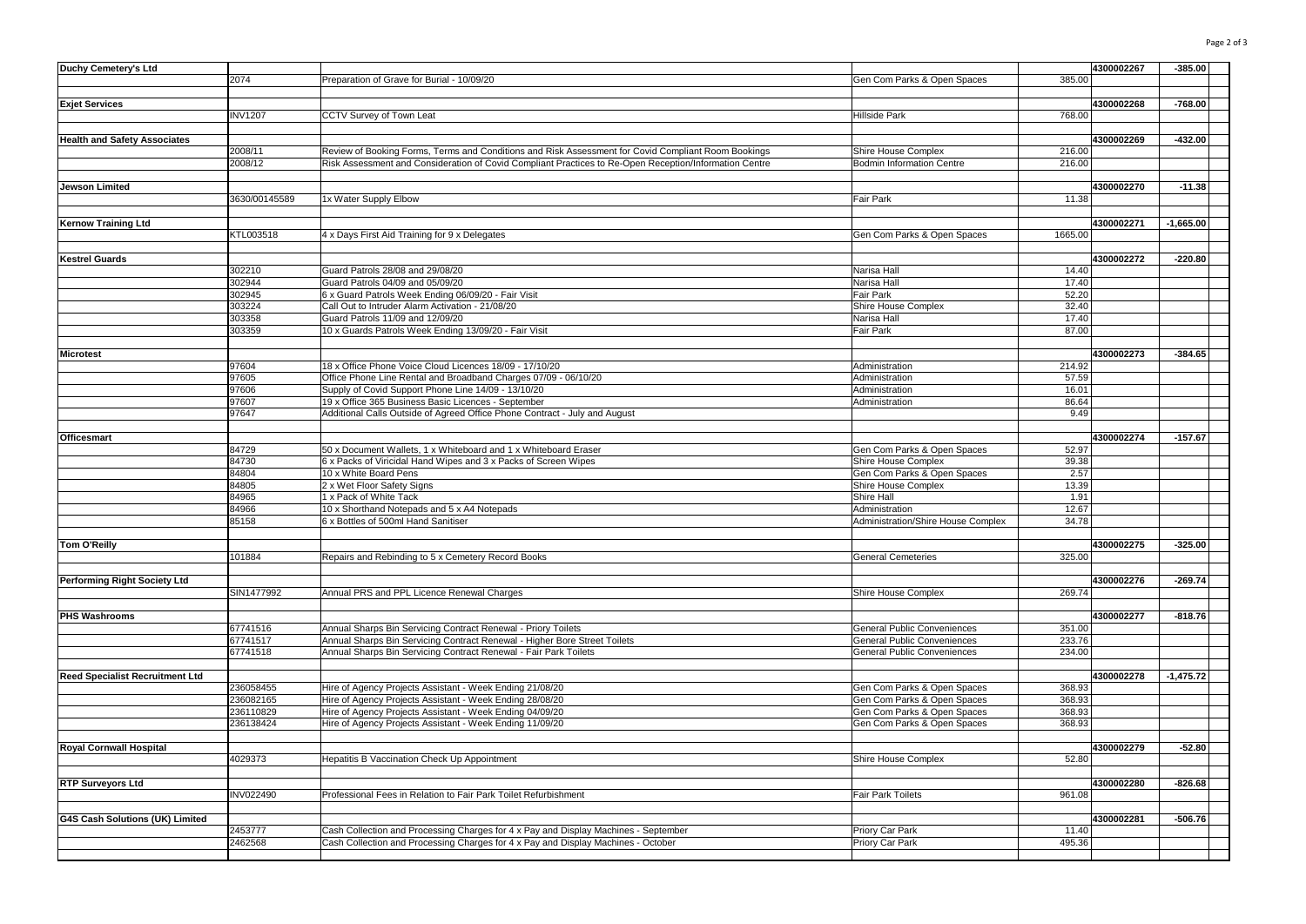| Duchy Cemetery's Ltd                   |                  |                                                                                                        |                                    | 4300002267 | $-385.00$   |
|----------------------------------------|------------------|--------------------------------------------------------------------------------------------------------|------------------------------------|------------|-------------|
|                                        |                  |                                                                                                        |                                    |            |             |
|                                        | 2074             | Preparation of Grave for Burial - 10/09/20                                                             | Gen Com Parks & Open Spaces        | 385.00     |             |
|                                        |                  |                                                                                                        |                                    |            |             |
| <b>Exjet Services</b>                  |                  |                                                                                                        |                                    | 4300002268 | $-768.00$   |
|                                        | <b>INV1207</b>   | CCTV Survey of Town Leat                                                                               | Hillside Park                      | 768.00     |             |
|                                        |                  |                                                                                                        |                                    |            |             |
| <b>Health and Safety Associates</b>    |                  |                                                                                                        |                                    | 4300002269 | $-432.00$   |
|                                        | 2008/11          | Review of Booking Forms, Terms and Conditions and Risk Assessment for Covid Compliant Room Bookings    | Shire House Complex                | 216,00     |             |
|                                        | 2008/12          | Risk Assessment and Consideration of Covid Compliant Practices to Re-Open Reception/Information Centre | <b>Bodmin Information Centre</b>   | 216.00     |             |
|                                        |                  |                                                                                                        |                                    |            |             |
|                                        |                  |                                                                                                        |                                    |            |             |
| Jewson Limited                         |                  |                                                                                                        |                                    | 4300002270 | $-11.38$    |
|                                        | 3630/00145589    | 1x Water Supply Elbow                                                                                  | Fair Park                          | 11.38      |             |
|                                        |                  |                                                                                                        |                                    |            |             |
| <b>Kernow Training Ltd</b>             |                  |                                                                                                        |                                    | 4300002271 | $-1,665.00$ |
|                                        | KTL003518        | 4 x Days First Aid Training for 9 x Delegates                                                          | Gen Com Parks & Open Spaces        | 1665.00    |             |
|                                        |                  |                                                                                                        |                                    |            |             |
| <b>Kestrel Guards</b>                  |                  |                                                                                                        |                                    | 4300002272 | $-220.80$   |
|                                        | 302210           | Guard Patrols 28/08 and 29/08/20                                                                       | Narisa Hall                        | 14.40      |             |
|                                        |                  |                                                                                                        |                                    |            |             |
|                                        | 302944           | Guard Patrols 04/09 and 05/09/20                                                                       | Narisa Hall                        | 17.40      |             |
|                                        | 302945           | 6 x Guard Patrols Week Ending 06/09/20 - Fair Visit                                                    | Fair Park                          | 52.20      |             |
|                                        | 303224           | Call Out to Intruder Alarm Activation - 21/08/20                                                       | Shire House Complex                | 32.40      |             |
|                                        | 303358           | Guard Patrols 11/09 and 12/09/20                                                                       | Narisa Hall                        | 17.40      |             |
|                                        | 303359           | 10 x Guards Patrols Week Ending 13/09/20 - Fair Visit                                                  | Fair Park                          | 87.00      |             |
|                                        |                  |                                                                                                        |                                    |            |             |
| <b>Microtest</b>                       |                  |                                                                                                        |                                    | 4300002273 | $-384.65$   |
|                                        | 97604            | 18 x Office Phone Voice Cloud Licences 18/09 - 17/10/20                                                | Administration                     | 214.92     |             |
|                                        |                  |                                                                                                        |                                    |            |             |
|                                        | 97605            | Office Phone Line Rental and Broadband Charges 07/09 - 06/10/20                                        | Administration                     | 57.59      |             |
|                                        | 97606            | Supply of Covid Support Phone Line 14/09 - 13/10/20                                                    | Administration                     | 16.01      |             |
|                                        | 97607            | 19 x Office 365 Business Basic Licences - September                                                    | Administration                     | 86.64      |             |
|                                        | 97647            | Additional Calls Outside of Agreed Office Phone Contract - July and August                             |                                    | 9.49       |             |
|                                        |                  |                                                                                                        |                                    |            |             |
| <b>Officesmart</b>                     |                  |                                                                                                        |                                    | 4300002274 | $-157.67$   |
|                                        | 84729            | 50 x Document Wallets, 1 x Whiteboard and 1 x Whiteboard Eraser                                        | Gen Com Parks & Open Spaces        | 52.97      |             |
|                                        | 84730            | 6 x Packs of Viricidal Hand Wipes and 3 x Packs of Screen Wipes                                        | Shire House Complex                | 39.38      |             |
|                                        |                  |                                                                                                        |                                    |            |             |
|                                        | 84804            | 10 x White Board Pens                                                                                  | Gen Com Parks & Open Spaces        | 2.57       |             |
|                                        | 84805            | 2 x Wet Floor Safety Signs                                                                             | Shire House Complex                | 13.39      |             |
|                                        | 84965            | 1 x Pack of White Tack                                                                                 | Shire Hall                         | 1.91       |             |
|                                        | 84966            | 10 x Shorthand Notepads and 5 x A4 Notepads                                                            | Administration                     | 12.67      |             |
|                                        | 85158            | 6 x Bottles of 500ml Hand Sanitiser                                                                    | Administration/Shire House Complex | 34.78      |             |
|                                        |                  |                                                                                                        |                                    |            |             |
| <b>Tom O'Reilly</b>                    |                  |                                                                                                        |                                    | 4300002275 | $-325.00$   |
|                                        | 101884           |                                                                                                        | <b>General Cemeteries</b>          | 325.00     |             |
|                                        |                  | Repairs and Rebinding to 5 x Cemetery Record Books                                                     |                                    |            |             |
|                                        |                  |                                                                                                        |                                    |            |             |
| <b>Performing Right Society Ltd</b>    |                  |                                                                                                        |                                    | 4300002276 | $-269.74$   |
|                                        | SIN1477992       | Annual PRS and PPL Licence Renewal Charges                                                             | Shire House Complex                | 269.74     |             |
|                                        |                  |                                                                                                        |                                    |            |             |
| <b>PHS Washrooms</b>                   |                  |                                                                                                        |                                    | 4300002277 | $-818.76$   |
|                                        | 67741516         | Annual Sharps Bin Servicing Contract Renewal - Priory Toilets                                          | <b>General Public Conveniences</b> | 351.00     |             |
|                                        | 67741517         | Annual Sharps Bin Servicing Contract Renewal - Higher Bore Street Toilets                              | <b>General Public Conveniences</b> | 233.76     |             |
|                                        | 67741518         | Annual Sharps Bin Servicing Contract Renewal - Fair Park Toilets                                       | <b>General Public Conveniences</b> | 234.00     |             |
|                                        |                  |                                                                                                        |                                    |            |             |
|                                        |                  |                                                                                                        |                                    |            |             |
| <b>Reed Specialist Recruitment Ltd</b> |                  |                                                                                                        |                                    | 4300002278 | $-1,475.72$ |
|                                        | 236058455        | Hire of Agency Projects Assistant - Week Ending 21/08/20                                               | Gen Com Parks & Open Spaces        | 368.93     |             |
|                                        | 236082165        | Hire of Agency Projects Assistant - Week Ending 28/08/20                                               | Gen Com Parks & Open Spaces        | 368.93     |             |
|                                        | 236110829        | Hire of Agency Projects Assistant - Week Ending 04/09/20                                               | Gen Com Parks & Open Spaces        | 368.93     |             |
|                                        | 236138424        | Hire of Agency Projects Assistant - Week Ending 11/09/20                                               | Gen Com Parks & Open Spaces        | 368.93     |             |
|                                        |                  |                                                                                                        |                                    |            |             |
| <b>Royal Cornwall Hospital</b>         |                  |                                                                                                        |                                    | 4300002279 | $-52.80$    |
|                                        |                  |                                                                                                        |                                    |            |             |
|                                        | 4029373          | Hepatitis B Vaccination Check Up Appointment                                                           | Shire House Complex                | 52.80      |             |
|                                        |                  |                                                                                                        |                                    |            |             |
| <b>RTP Surveyors Ltd</b>               |                  |                                                                                                        |                                    | 4300002280 | $-826.68$   |
|                                        | <b>INV022490</b> | Professional Fees in Relation to Fair Park Toilet Refurbishment                                        | Fair Park Toilets                  | 961.08     |             |
|                                        |                  |                                                                                                        |                                    |            |             |
| G4S Cash Solutions (UK) Limited        |                  |                                                                                                        |                                    | 4300002281 | $-506.76$   |
|                                        | 2453777          | Cash Collection and Processing Charges for 4 x Pay and Display Machines - September                    | Priory Car Park                    | 11.40      |             |
|                                        | 2462568          | Cash Collection and Processing Charges for 4 x Pay and Display Machines - October                      | Priory Car Park                    | 495.36     |             |
|                                        |                  |                                                                                                        |                                    |            |             |
|                                        |                  |                                                                                                        |                                    |            |             |